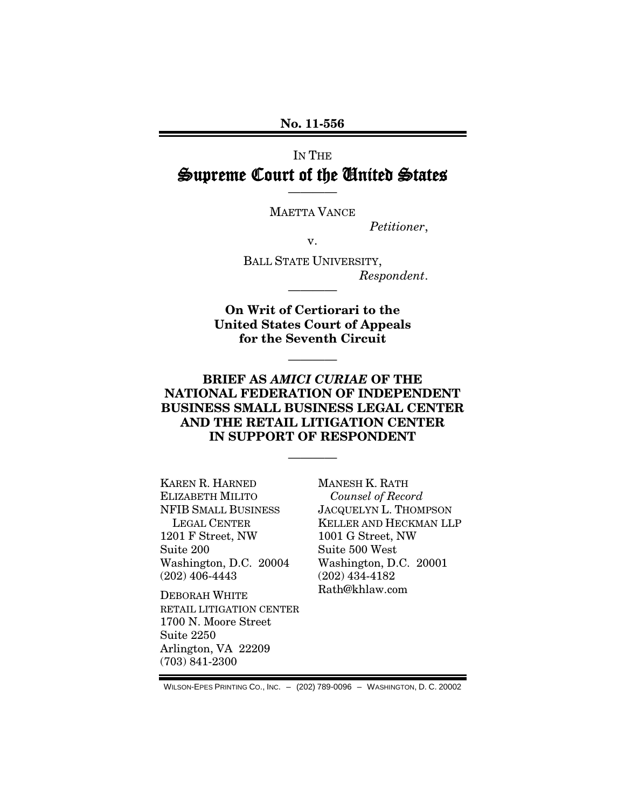## IN THE Supreme Court of the United States

MAETTA VANCE

————

*Petitioner*,

v.

BALL STATE UNIVERSITY, *Respondent*.

**On Writ of Certiorari to the United States Court of Appeals for the Seventh Circuit**

————

————

### **BRIEF AS** *AMICI CURIAE* **OF THE NATIONAL FEDERATION OF INDEPENDENT BUSINESS SMALL BUSINESS LEGAL CENTER AND THE RETAIL LITIGATION CENTER IN SUPPORT OF RESPONDENT**

————

KAREN R. HARNED ELIZABETH MILITO NFIB SMALL BUSINESS LEGAL CENTER 1201 F Street, NW Suite 200 Washington, D.C. 20004 (202) 406-4443

DEBORAH WHITE RETAIL LITIGATION CENTER 1700 N. Moore Street Suite 2250 Arlington, VA 22209 (703) 841-2300

MANESH K. RATH *Counsel of Record* JACQUELYN L. THOMPSON KELLER AND HECKMAN LLP 1001 G Street, NW Suite 500 West Washington, D.C. 20001 (202) 434-4182 Rath@khlaw.com

WILSON-EPES PRINTING CO., INC. – (202) 789-0096 – WASHINGTON, D. C. 20002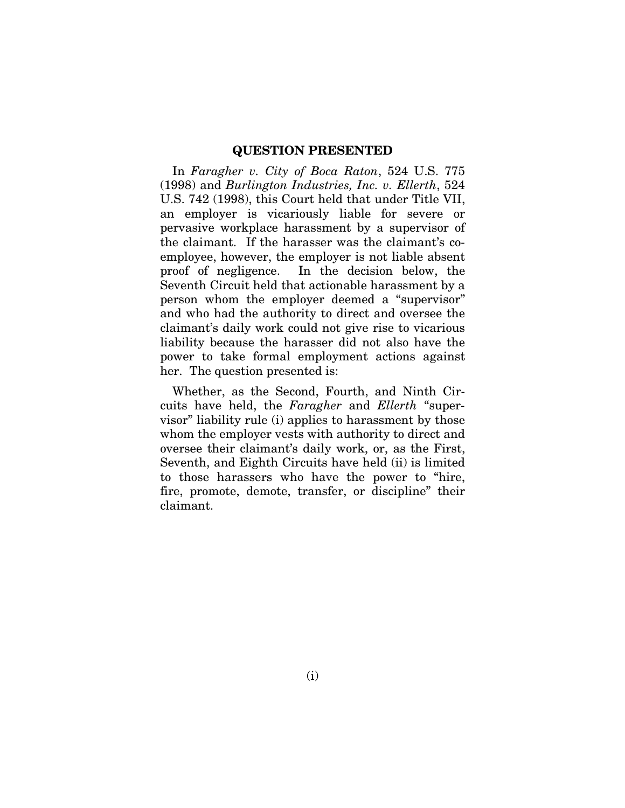#### **QUESTION PRESENTED**

In *Faragher v. City of Boca Raton*, 524 U.S. 775 (1998) and *Burlington Industries, Inc. v. Ellerth*, 524 U.S. 742 (1998), this Court held that under Title VII, an employer is vicariously liable for severe or pervasive workplace harassment by a supervisor of the claimant. If the harasser was the claimant's coemployee, however, the employer is not liable absent proof of negligence. In the decision below, the Seventh Circuit held that actionable harassment by a person whom the employer deemed a "supervisor" and who had the authority to direct and oversee the claimant's daily work could not give rise to vicarious liability because the harasser did not also have the power to take formal employment actions against her. The question presented is:

Whether, as the Second, Fourth, and Ninth Circuits have held, the *Faragher* and *Ellerth* "supervisor" liability rule (i) applies to harassment by those whom the employer vests with authority to direct and oversee their claimant's daily work, or, as the First, Seventh, and Eighth Circuits have held (ii) is limited to those harassers who have the power to "hire, fire, promote, demote, transfer, or discipline" their claimant.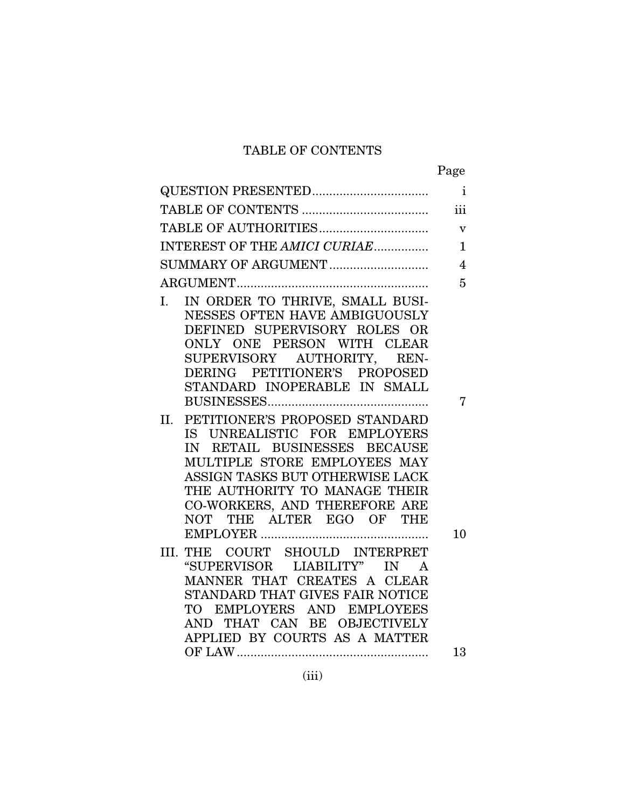## TABLE OF CONTENTS

|--|

|                                                                                                                                                                                                                                                                     | iii                |
|---------------------------------------------------------------------------------------------------------------------------------------------------------------------------------------------------------------------------------------------------------------------|--------------------|
|                                                                                                                                                                                                                                                                     | $\bar{\mathbf{V}}$ |
| INTEREST OF THE AMICI CURIAE                                                                                                                                                                                                                                        | $\mathbf{1}$       |
|                                                                                                                                                                                                                                                                     | $\overline{4}$     |
|                                                                                                                                                                                                                                                                     | $\overline{5}$     |
| I. IN ORDER TO THRIVE, SMALL BUSI-<br>NESSES OFTEN HAVE AMBIGUOUSLY<br>DEFINED SUPERVISORY ROLES OR<br>ONLY ONE PERSON WITH CLEAR<br>SUPERVISORY AUTHORITY, REN-<br>DERING PETITIONER'S PROPOSED<br>STANDARD INOPERABLE IN SMALL                                    | 7                  |
| II. PETITIONER'S PROPOSED STANDARD<br>IS UNREALISTIC FOR EMPLOYERS<br>IN RETAIL BUSINESSES BECAUSE<br>MULTIPLE STORE EMPLOYEES MAY<br>ASSIGN TASKS BUT OTHERWISE LACK<br>THE AUTHORITY TO MANAGE THEIR<br>CO-WORKERS, AND THEREFORE ARE<br>NOT THE ALTER EGO OF THE | 10                 |
| III. THE COURT SHOULD INTERPRET<br>"SUPERVISOR LIABILITY" IN A<br>MANNER THAT CREATES A CLEAR<br>STANDARD THAT GIVES FAIR NOTICE<br>TO EMPLOYERS AND EMPLOYEES<br>THAT CAN BE OBJECTIVELY<br>AND -<br>APPLIED BY COURTS AS A MATTER                                 |                    |
|                                                                                                                                                                                                                                                                     | 13                 |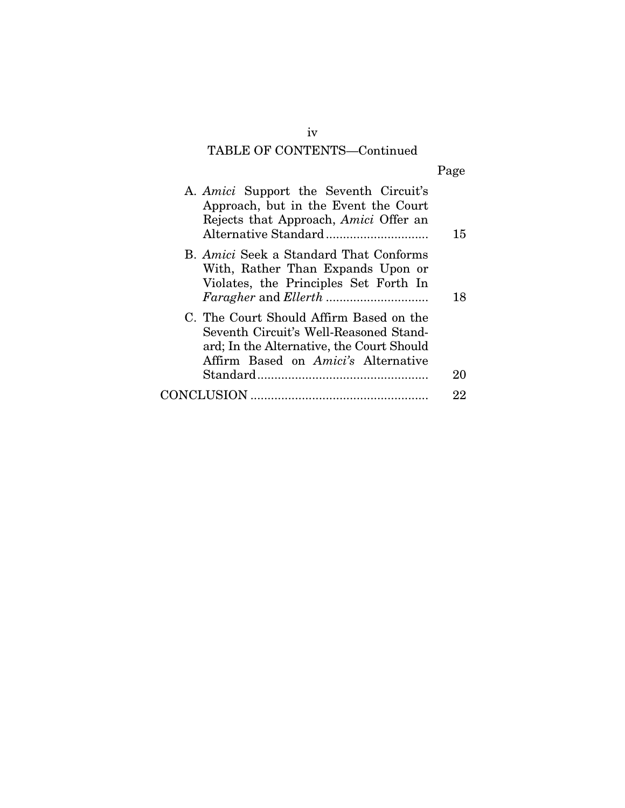# TABLE OF CONTENTS—Continued

| A. Amici Support the Seventh Circuit's<br>Approach, but in the Event the Court<br>Rejects that Approach, Amici Offer an                                                      | 15 |
|------------------------------------------------------------------------------------------------------------------------------------------------------------------------------|----|
| B. Amici Seek a Standard That Conforms<br>With, Rather Than Expands Upon or<br>Violates, the Principles Set Forth In                                                         | 18 |
| C. The Court Should Affirm Based on the<br>Seventh Circuit's Well-Reasoned Stand-<br>ard; In the Alternative, the Court Should<br>Affirm Based on <i>Amici's</i> Alternative | 20 |
|                                                                                                                                                                              | 22 |
|                                                                                                                                                                              |    |

iv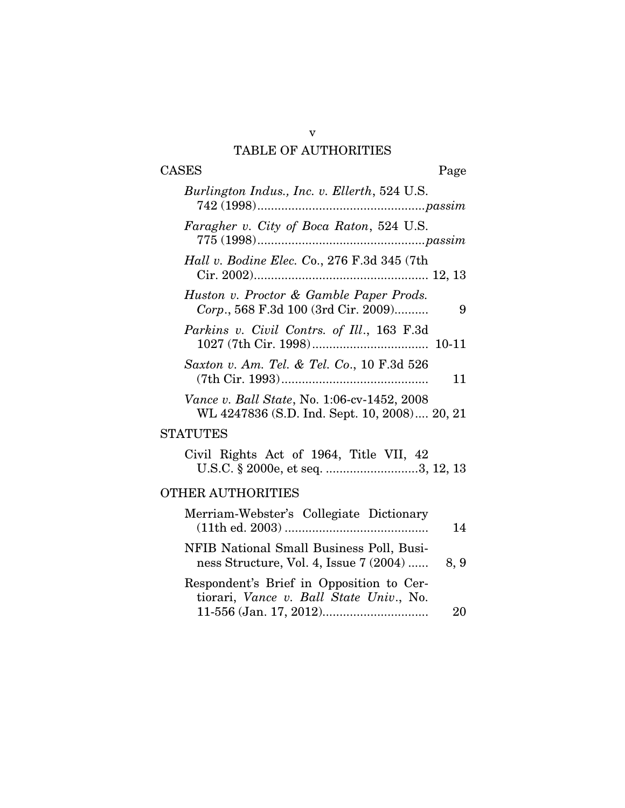### v TABLE OF AUTHORITIES

# CASES Page

| Burlington Indus., Inc. v. Ellerth, 524 U.S.                                                |      |
|---------------------------------------------------------------------------------------------|------|
| Faragher v. City of Boca Raton, 524 U.S.                                                    |      |
| Hall v. Bodine Elec. Co., 276 F.3d 345 (7th                                                 |      |
| Huston v. Proctor & Gamble Paper Prods.<br>Corp., 568 F.3d 100 (3rd Cir. 2009)              | 9    |
| Parkins v. Civil Contrs. of Ill., 163 F.3d                                                  |      |
| Saxton v. Am. Tel. & Tel. Co., 10 F.3d 526                                                  | 11   |
| Vance v. Ball State, No. 1:06-cv-1452, 2008<br>WL 4247836 (S.D. Ind. Sept. 10, 2008) 20, 21 |      |
| <b>STATUTES</b>                                                                             |      |
| Civil Rights Act of 1964, Title VII, 42<br>U.S.C. § 2000e, et seq. 3, 12, 13                |      |
| OTHER AUTHORITIES                                                                           |      |
| Merriam-Webster's Collegiate Dictionary                                                     | 14   |
| NFIB National Small Business Poll, Busi-<br>ness Structure, Vol. 4, Issue 7 (2004)          | 8, 9 |
| Respondent's Brief in Opposition to Cer-<br>tiorari, Vance v. Ball State Univ., No.         |      |

11-556 (Jan. 17, 2012)............................... 20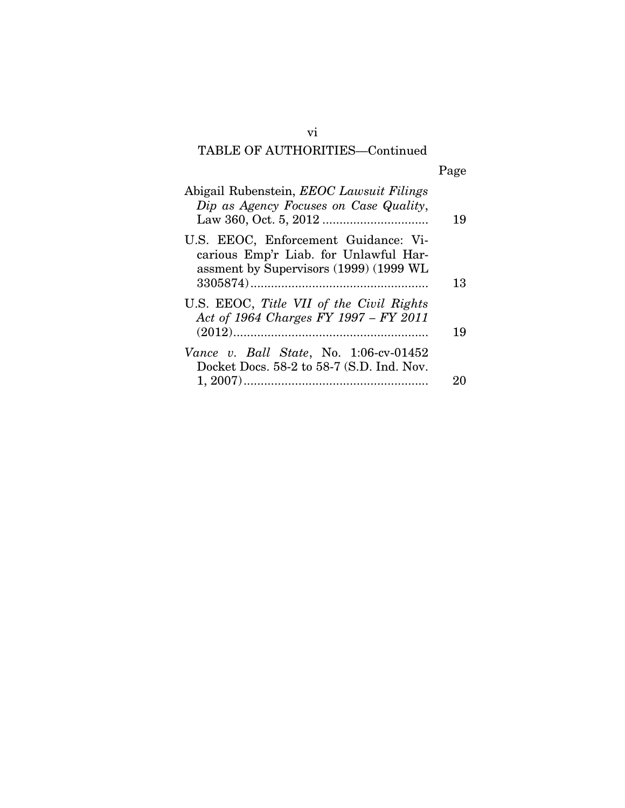# TABLE OF AUTHORITIES—Continued

| Page |
|------|
|      |

| Abigail Rubenstein, EEOC Lawsuit Filings<br>Dip as Agency Focuses on Case Quality,                                      | 19 |
|-------------------------------------------------------------------------------------------------------------------------|----|
| U.S. EEOC, Enforcement Guidance: Vi-<br>carious Emp'r Liab. for Unlawful Har-<br>assment by Supervisors (1999) (1999 WL | 13 |
| U.S. EEOC, Title VII of the Civil Rights<br>Act of 1964 Charges FY 1997 - FY 2011                                       | 19 |
| Vance v. Ball State, No. 1:06-cv-01452<br>Docket Docs. 58-2 to 58-7 (S.D. Ind. Nov.                                     |    |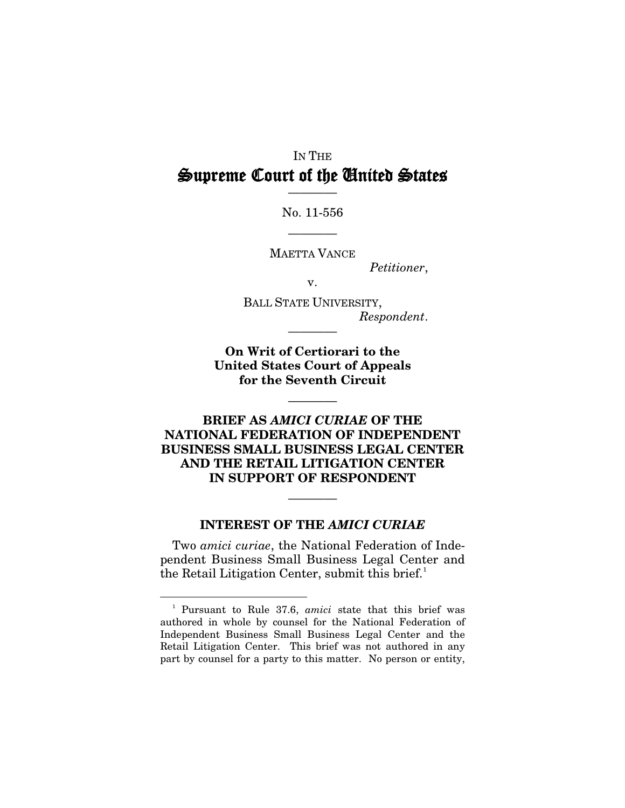## IN THE Supreme Court of the United States

———— No. 11-556

————

MAETTA VANCE

*Petitioner*,

v.

BALL STATE UNIVERSITY, *Respondent*.

**On Writ of Certiorari to the United States Court of Appeals for the Seventh Circuit**

————

————

### **BRIEF AS** *AMICI CURIAE* **OF THE NATIONAL FEDERATION OF INDEPENDENT BUSINESS SMALL BUSINESS LEGAL CENTER AND THE RETAIL LITIGATION CENTER IN SUPPORT OF RESPONDENT**

#### **INTEREST OF THE** *AMICI CURIAE*

————

Two *amici curiae*, the National Federation of Independent Business Small Business Legal Center and the Retail Litigation Center, submit this brief.<sup>[1](#page-6-0)</sup>

<span id="page-6-0"></span><sup>&</sup>lt;sup>1</sup> Pursuant to Rule 37.6, *amici* state that this brief was authored in whole by counsel for the National Federation of Independent Business Small Business Legal Center and the Retail Litigation Center. This brief was not authored in any part by counsel for a party to this matter. No person or entity,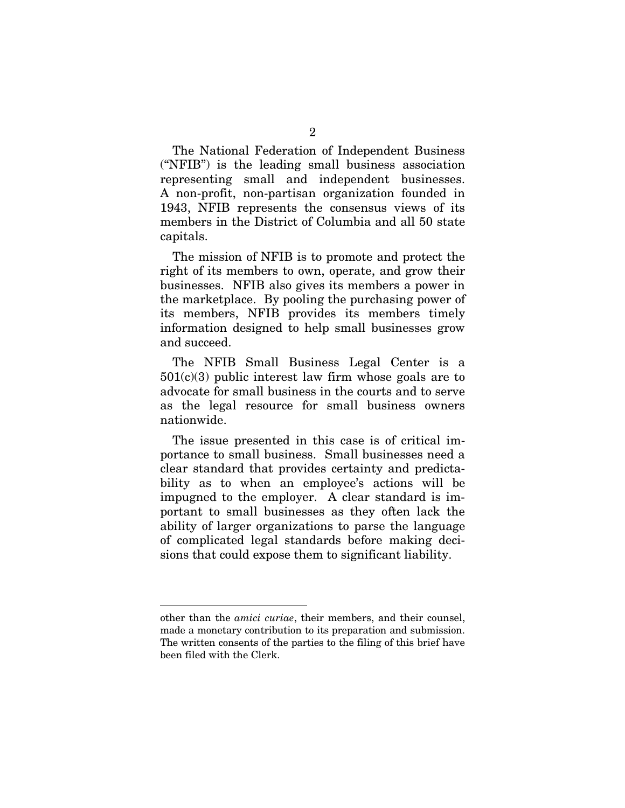The National Federation of Independent Business ("NFIB") is the leading small business association representing small and independent businesses. A non-profit, non-partisan organization founded in 1943, NFIB represents the consensus views of its members in the District of Columbia and all 50 state capitals.

The mission of NFIB is to promote and protect the right of its members to own, operate, and grow their businesses. NFIB also gives its members a power in the marketplace. By pooling the purchasing power of its members, NFIB provides its members timely information designed to help small businesses grow and succeed.

The NFIB Small Business Legal Center is a  $501(c)(3)$  public interest law firm whose goals are to advocate for small business in the courts and to serve as the legal resource for small business owners nationwide.

The issue presented in this case is of critical importance to small business. Small businesses need a clear standard that provides certainty and predictability as to when an employee's actions will be impugned to the employer. A clear standard is important to small businesses as they often lack the ability of larger organizations to parse the language of complicated legal standards before making decisions that could expose them to significant liability.

-

other than the *amici curiae*, their members, and their counsel, made a monetary contribution to its preparation and submission. The written consents of the parties to the filing of this brief have been filed with the Clerk.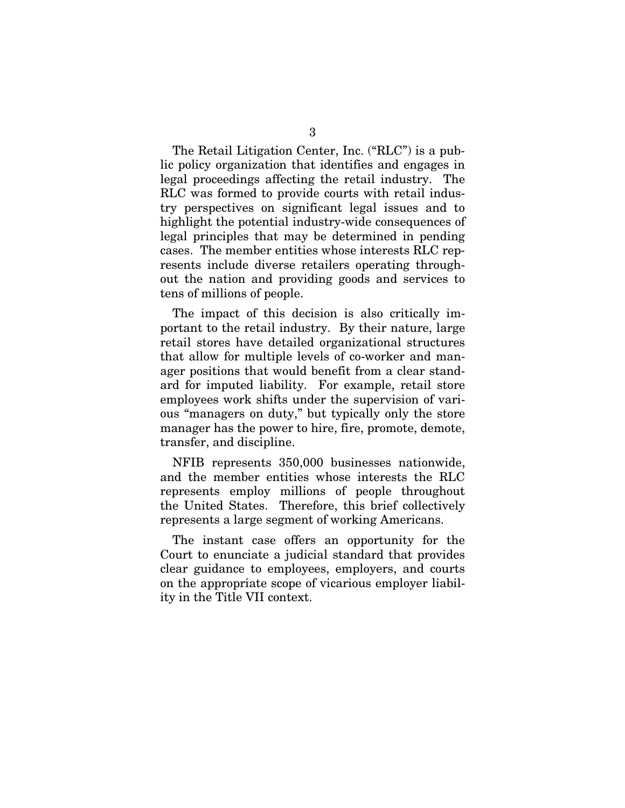The Retail Litigation Center, Inc. ("RLC") is a public policy organization that identifies and engages in legal proceedings affecting the retail industry. The RLC was formed to provide courts with retail industry perspectives on significant legal issues and to highlight the potential industry-wide consequences of legal principles that may be determined in pending cases. The member entities whose interests RLC represents include diverse retailers operating throughout the nation and providing goods and services to tens of millions of people.

The impact of this decision is also critically important to the retail industry. By their nature, large retail stores have detailed organizational structures that allow for multiple levels of co-worker and manager positions that would benefit from a clear standard for imputed liability. For example, retail store employees work shifts under the supervision of various "managers on duty," but typically only the store manager has the power to hire, fire, promote, demote, transfer, and discipline.

NFIB represents 350,000 businesses nationwide, and the member entities whose interests the RLC represents employ millions of people throughout the United States. Therefore, this brief collectively represents a large segment of working Americans.

The instant case offers an opportunity for the Court to enunciate a judicial standard that provides clear guidance to employees, employers, and courts on the appropriate scope of vicarious employer liability in the Title VII context.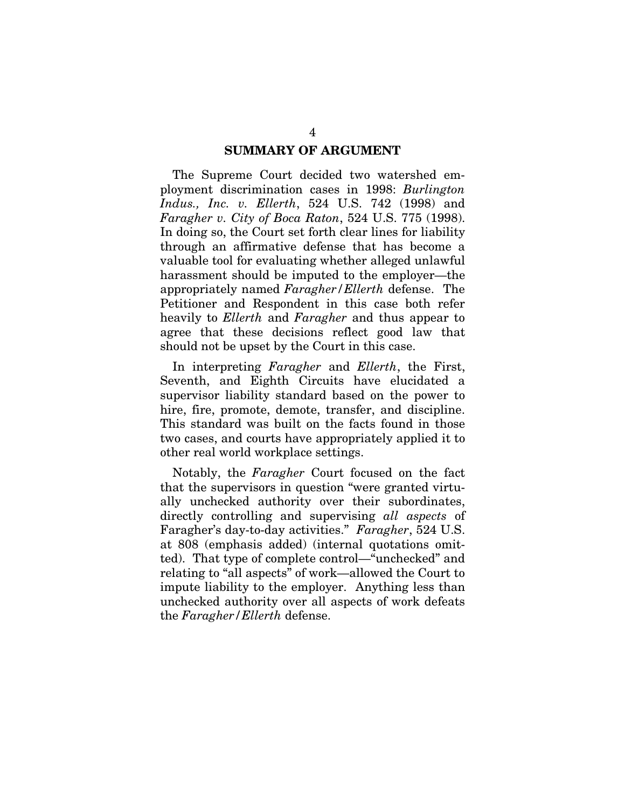#### **SUMMARY OF ARGUMENT**

The Supreme Court decided two watershed employment discrimination cases in 1998: *Burlington Indus., Inc. v. Ellerth*, 524 U.S. 742 (1998) and *Faragher v. City of Boca Raton*, 524 U.S. 775 (1998). In doing so, the Court set forth clear lines for liability through an affirmative defense that has become a valuable tool for evaluating whether alleged unlawful harassment should be imputed to the employer—the appropriately named *Faragher/Ellerth* defense. The Petitioner and Respondent in this case both refer heavily to *Ellerth* and *Faragher* and thus appear to agree that these decisions reflect good law that should not be upset by the Court in this case.

In interpreting *Faragher* and *Ellerth*, the First, Seventh, and Eighth Circuits have elucidated a supervisor liability standard based on the power to hire, fire, promote, demote, transfer, and discipline. This standard was built on the facts found in those two cases, and courts have appropriately applied it to other real world workplace settings.

Notably, the *Faragher* Court focused on the fact that the supervisors in question "were granted virtually unchecked authority over their subordinates, directly controlling and supervising *all aspects* of Faragher's day-to-day activities." *Faragher*, 524 U.S. at 808 (emphasis added) (internal quotations omitted). That type of complete control—"unchecked" and relating to "all aspects" of work—allowed the Court to impute liability to the employer. Anything less than unchecked authority over all aspects of work defeats the *Faragher/Ellerth* defense.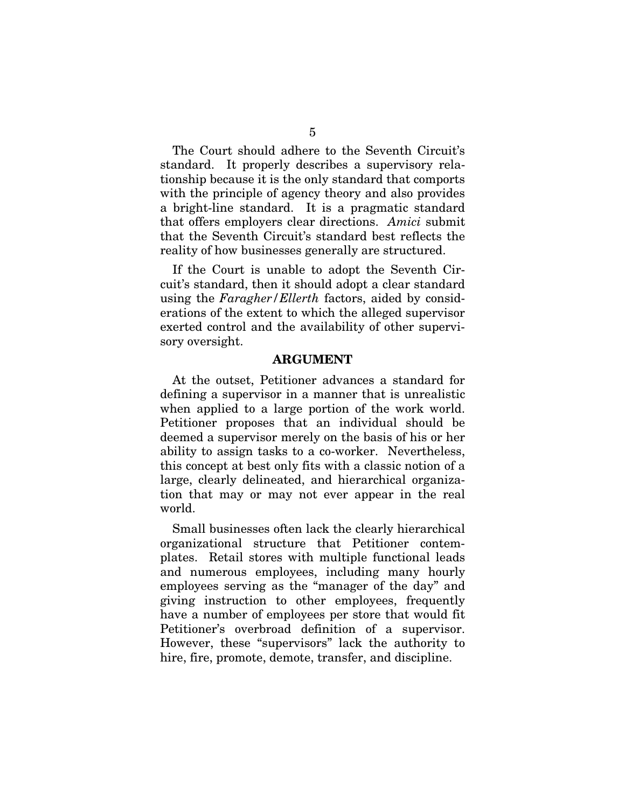The Court should adhere to the Seventh Circuit's standard. It properly describes a supervisory relationship because it is the only standard that comports with the principle of agency theory and also provides a bright-line standard. It is a pragmatic standard that offers employers clear directions. *Amici* submit that the Seventh Circuit's standard best reflects the reality of how businesses generally are structured.

If the Court is unable to adopt the Seventh Circuit's standard, then it should adopt a clear standard using the *Faragher/Ellerth* factors, aided by considerations of the extent to which the alleged supervisor exerted control and the availability of other supervisory oversight.

#### **ARGUMENT**

At the outset, Petitioner advances a standard for defining a supervisor in a manner that is unrealistic when applied to a large portion of the work world. Petitioner proposes that an individual should be deemed a supervisor merely on the basis of his or her ability to assign tasks to a co-worker. Nevertheless, this concept at best only fits with a classic notion of a large, clearly delineated, and hierarchical organization that may or may not ever appear in the real world.

Small businesses often lack the clearly hierarchical organizational structure that Petitioner contemplates. Retail stores with multiple functional leads and numerous employees, including many hourly employees serving as the "manager of the day" and giving instruction to other employees, frequently have a number of employees per store that would fit Petitioner's overbroad definition of a supervisor. However, these "supervisors" lack the authority to hire, fire, promote, demote, transfer, and discipline.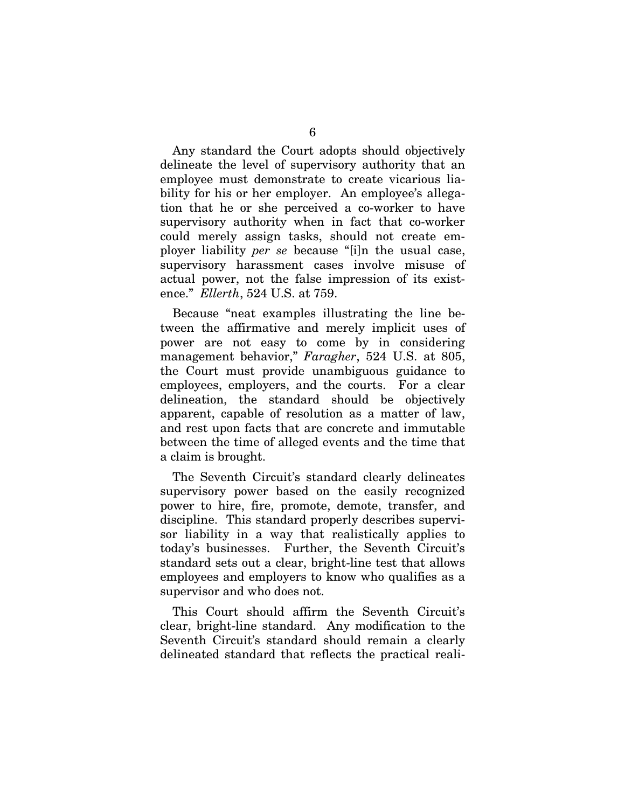Any standard the Court adopts should objectively delineate the level of supervisory authority that an employee must demonstrate to create vicarious liability for his or her employer. An employee's allegation that he or she perceived a co-worker to have supervisory authority when in fact that co-worker could merely assign tasks, should not create employer liability *per se* because "[i]n the usual case, supervisory harassment cases involve misuse of actual power, not the false impression of its existence." *Ellerth*, 524 U.S. at 759.

Because "neat examples illustrating the line between the affirmative and merely implicit uses of power are not easy to come by in considering management behavior," *Faragher*, 524 U.S. at 805, the Court must provide unambiguous guidance to employees, employers, and the courts. For a clear delineation, the standard should be objectively apparent, capable of resolution as a matter of law, and rest upon facts that are concrete and immutable between the time of alleged events and the time that a claim is brought.

The Seventh Circuit's standard clearly delineates supervisory power based on the easily recognized power to hire, fire, promote, demote, transfer, and discipline. This standard properly describes supervisor liability in a way that realistically applies to today's businesses. Further, the Seventh Circuit's standard sets out a clear, bright-line test that allows employees and employers to know who qualifies as a supervisor and who does not.

This Court should affirm the Seventh Circuit's clear, bright-line standard. Any modification to the Seventh Circuit's standard should remain a clearly delineated standard that reflects the practical reali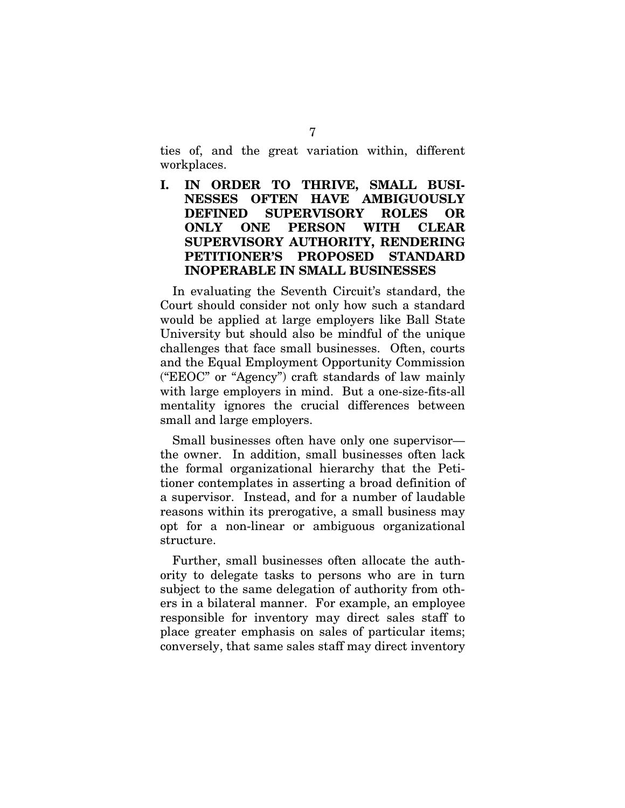ties of, and the great variation within, different workplaces.

**I. IN ORDER TO THRIVE, SMALL BUSI-NESSES OFTEN HAVE AMBIGUOUSLY DEFINED SUPERVISORY ROLES OR ONLY ONE PERSON WITH CLEAR SUPERVISORY AUTHORITY, RENDERING PETITIONER'S PROPOSED STANDARD INOPERABLE IN SMALL BUSINESSES** 

In evaluating the Seventh Circuit's standard, the Court should consider not only how such a standard would be applied at large employers like Ball State University but should also be mindful of the unique challenges that face small businesses. Often, courts and the Equal Employment Opportunity Commission ("EEOC" or "Agency") craft standards of law mainly with large employers in mind. But a one-size-fits-all mentality ignores the crucial differences between small and large employers.

Small businesses often have only one supervisor the owner. In addition, small businesses often lack the formal organizational hierarchy that the Petitioner contemplates in asserting a broad definition of a supervisor. Instead, and for a number of laudable reasons within its prerogative, a small business may opt for a non-linear or ambiguous organizational structure.

Further, small businesses often allocate the authority to delegate tasks to persons who are in turn subject to the same delegation of authority from others in a bilateral manner. For example, an employee responsible for inventory may direct sales staff to place greater emphasis on sales of particular items; conversely, that same sales staff may direct inventory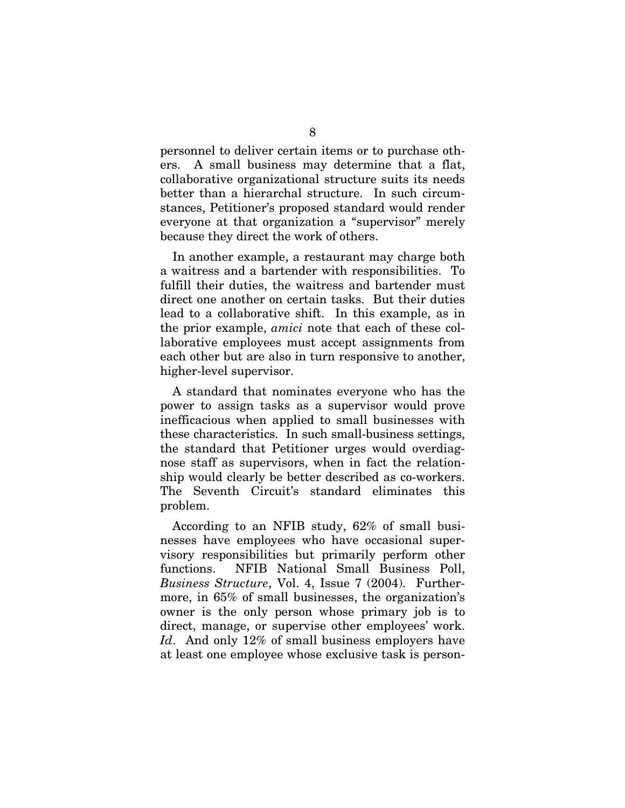personnel to deliver certain items or to purchase others. A small business may determine that a flat, collaborative organizational structure suits its needs better than a hierarchal structure. In such circumstances, Petitioner's proposed standard would render everyone at that organization a "supervisor" merely because they direct the work of others.

In another example, a restaurant may charge both a waitress and a bartender with responsibilities. To fulfill their duties, the waitress and bartender must direct one another on certain tasks. But their duties lead to a collaborative shift. In this example, as in the prior example, *amici* note that each of these collaborative employees must accept assignments from each other but are also in turn responsive to another, higher-level supervisor.

A standard that nominates everyone who has the power to assign tasks as a supervisor would prove inefficacious when applied to small businesses with these characteristics. In such small-business settings, the standard that Petitioner urges would overdiagnose staff as supervisors, when in fact the relationship would clearly be better described as co-workers. The Seventh Circuit's standard eliminates this problem.

According to an NFIB study, 62% of small businesses have employees who have occasional supervisory responsibilities but primarily perform other functions. NFIB National Small Business Poll, *Business Structure*, Vol. 4, Issue 7 (2004). Furthermore, in 65% of small businesses, the organization's owner is the only person whose primary job is to direct, manage, or supervise other employees' work. Id. And only 12% of small business employers have at least one employee whose exclusive task is person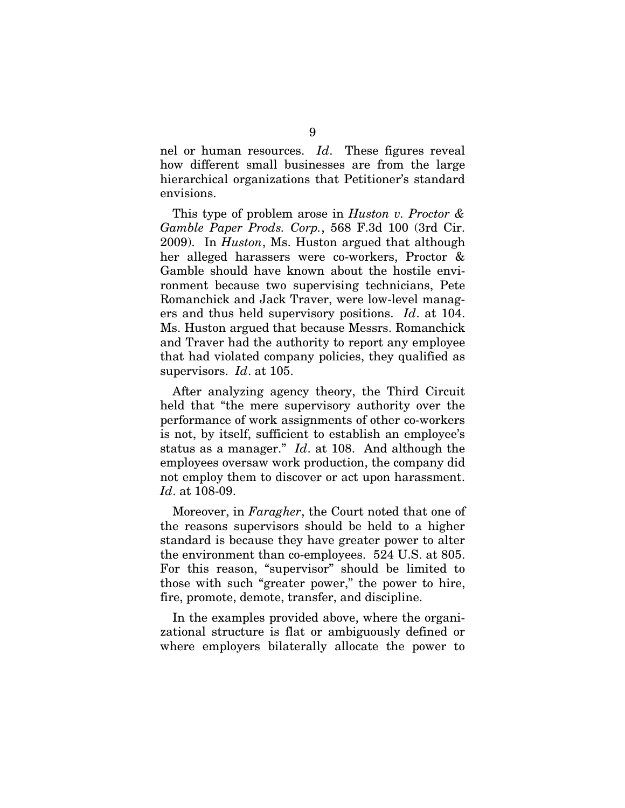nel or human resources. *Id*. These figures reveal how different small businesses are from the large hierarchical organizations that Petitioner's standard envisions.

This type of problem arose in *Huston v. Proctor & Gamble Paper Prods. Corp.*, 568 F.3d 100 (3rd Cir. 2009). In *Huston*, Ms. Huston argued that although her alleged harassers were co-workers, Proctor & Gamble should have known about the hostile environment because two supervising technicians, Pete Romanchick and Jack Traver, were low-level managers and thus held supervisory positions. *Id*. at 104. Ms. Huston argued that because Messrs. Romanchick and Traver had the authority to report any employee that had violated company policies, they qualified as supervisors. *Id*. at 105.

After analyzing agency theory, the Third Circuit held that "the mere supervisory authority over the performance of work assignments of other co-workers is not, by itself, sufficient to establish an employee's status as a manager." *Id*. at 108. And although the employees oversaw work production, the company did not employ them to discover or act upon harassment. *Id*. at 108-09.

Moreover, in *Faragher*, the Court noted that one of the reasons supervisors should be held to a higher standard is because they have greater power to alter the environment than co-employees. 524 U.S. at 805. For this reason, "supervisor" should be limited to those with such "greater power," the power to hire, fire, promote, demote, transfer, and discipline.

In the examples provided above, where the organizational structure is flat or ambiguously defined or where employers bilaterally allocate the power to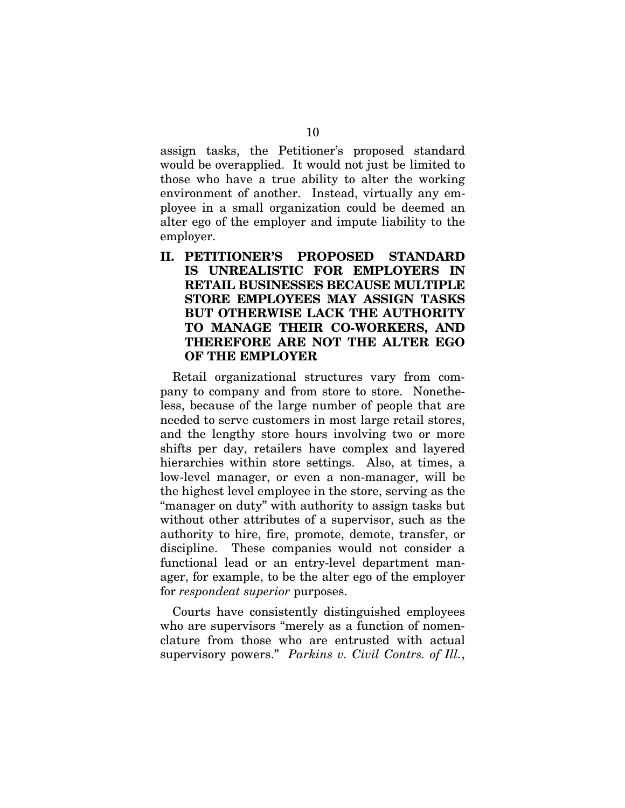assign tasks, the Petitioner's proposed standard would be overapplied. It would not just be limited to those who have a true ability to alter the working environment of another. Instead, virtually any employee in a small organization could be deemed an alter ego of the employer and impute liability to the employer.

**II. PETITIONER'S PROPOSED STANDARD IS UNREALISTIC FOR EMPLOYERS IN RETAIL BUSINESSES BECAUSE MULTIPLE STORE EMPLOYEES MAY ASSIGN TASKS BUT OTHERWISE LACK THE AUTHORITY TO MANAGE THEIR CO-WORKERS, AND THEREFORE ARE NOT THE ALTER EGO OF THE EMPLOYER** 

Retail organizational structures vary from company to company and from store to store. Nonetheless, because of the large number of people that are needed to serve customers in most large retail stores, and the lengthy store hours involving two or more shifts per day, retailers have complex and layered hierarchies within store settings. Also, at times, a low-level manager, or even a non-manager, will be the highest level employee in the store, serving as the "manager on duty" with authority to assign tasks but without other attributes of a supervisor, such as the authority to hire, fire, promote, demote, transfer, or discipline. These companies would not consider a functional lead or an entry-level department manager, for example, to be the alter ego of the employer for *respondeat superior* purposes.

Courts have consistently distinguished employees who are supervisors "merely as a function of nomenclature from those who are entrusted with actual supervisory powers." *Parkins v. Civil Contrs. of Ill.*,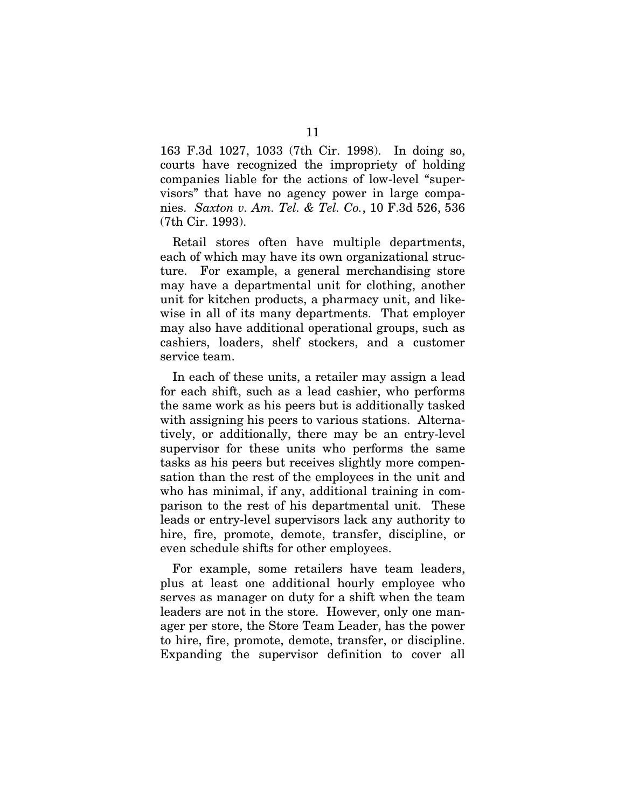163 F.3d 1027, 1033 (7th Cir. 1998). In doing so, courts have recognized the impropriety of holding companies liable for the actions of low-level "supervisors" that have no agency power in large companies. *Saxton v. Am. Tel. & Tel. Co.*, 10 F.3d 526, 536 (7th Cir. 1993).

Retail stores often have multiple departments, each of which may have its own organizational structure. For example, a general merchandising store may have a departmental unit for clothing, another unit for kitchen products, a pharmacy unit, and likewise in all of its many departments. That employer may also have additional operational groups, such as cashiers, loaders, shelf stockers, and a customer service team.

In each of these units, a retailer may assign a lead for each shift, such as a lead cashier, who performs the same work as his peers but is additionally tasked with assigning his peers to various stations. Alternatively, or additionally, there may be an entry-level supervisor for these units who performs the same tasks as his peers but receives slightly more compensation than the rest of the employees in the unit and who has minimal, if any, additional training in comparison to the rest of his departmental unit. These leads or entry-level supervisors lack any authority to hire, fire, promote, demote, transfer, discipline, or even schedule shifts for other employees.

For example, some retailers have team leaders, plus at least one additional hourly employee who serves as manager on duty for a shift when the team leaders are not in the store. However, only one manager per store, the Store Team Leader, has the power to hire, fire, promote, demote, transfer, or discipline. Expanding the supervisor definition to cover all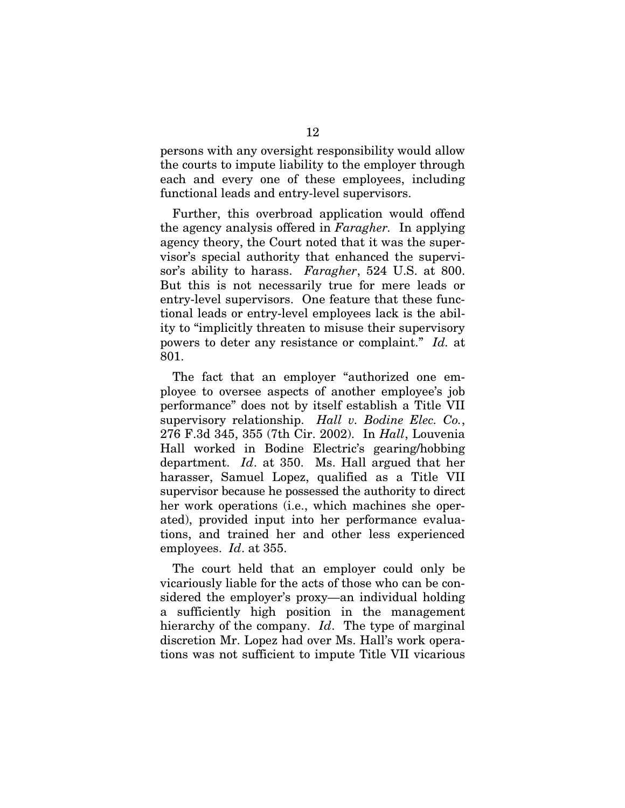persons with any oversight responsibility would allow the courts to impute liability to the employer through each and every one of these employees, including functional leads and entry-level supervisors.

Further, this overbroad application would offend the agency analysis offered in *Faragher.* In applying agency theory, the Court noted that it was the supervisor's special authority that enhanced the supervisor's ability to harass. *Faragher*, 524 U.S. at 800. But this is not necessarily true for mere leads or entry-level supervisors. One feature that these functional leads or entry-level employees lack is the ability to "implicitly threaten to misuse their supervisory powers to deter any resistance or complaint." *Id.* at 801.

The fact that an employer "authorized one employee to oversee aspects of another employee's job performance" does not by itself establish a Title VII supervisory relationship. *Hall v. Bodine Elec. Co.*, 276 F.3d 345, 355 (7th Cir. 2002). In *Hall*, Louvenia Hall worked in Bodine Electric's gearing/hobbing department. *Id*. at 350. Ms. Hall argued that her harasser, Samuel Lopez, qualified as a Title VII supervisor because he possessed the authority to direct her work operations (i.e., which machines she operated), provided input into her performance evaluations, and trained her and other less experienced employees. *Id*. at 355.

The court held that an employer could only be vicariously liable for the acts of those who can be considered the employer's proxy—an individual holding a sufficiently high position in the management hierarchy of the company. *Id*. The type of marginal discretion Mr. Lopez had over Ms. Hall's work operations was not sufficient to impute Title VII vicarious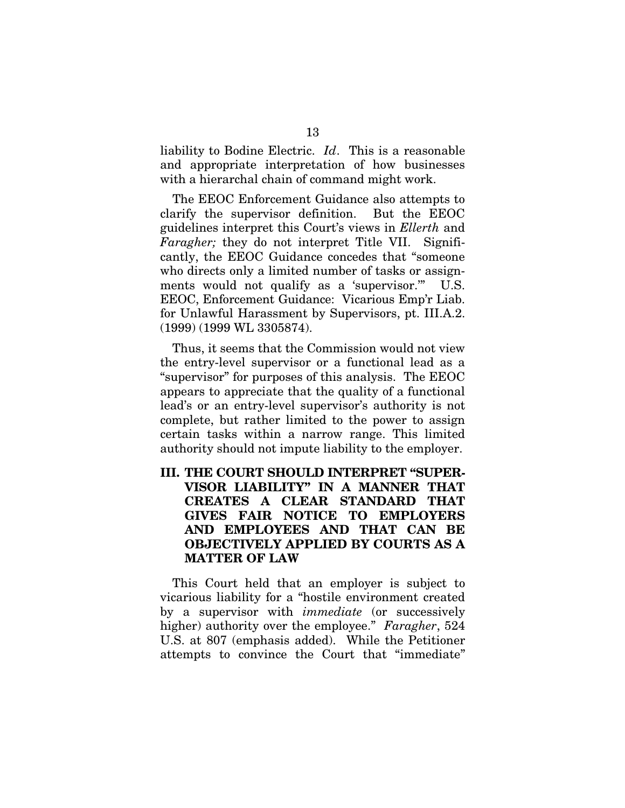liability to Bodine Electric. *Id*. This is a reasonable and appropriate interpretation of how businesses with a hierarchal chain of command might work.

The EEOC Enforcement Guidance also attempts to clarify the supervisor definition. But the EEOC guidelines interpret this Court's views in *Ellerth* and *Faragher;* they do not interpret Title VII. Significantly, the EEOC Guidance concedes that "someone who directs only a limited number of tasks or assignments would not qualify as a 'supervisor." U.S. EEOC, Enforcement Guidance: Vicarious Emp'r Liab. for Unlawful Harassment by Supervisors, pt. III.A.2. (1999) (1999 WL 3305874).

Thus, it seems that the Commission would not view the entry-level supervisor or a functional lead as a "supervisor" for purposes of this analysis. The EEOC appears to appreciate that the quality of a functional lead's or an entry-level supervisor's authority is not complete, but rather limited to the power to assign certain tasks within a narrow range. This limited authority should not impute liability to the employer.

### **III. THE COURT SHOULD INTERPRET "SUPER-VISOR LIABILITY" IN A MANNER THAT CREATES A CLEAR STANDARD THAT GIVES FAIR NOTICE TO EMPLOYERS AND EMPLOYEES AND THAT CAN BE OBJECTIVELY APPLIED BY COURTS AS A MATTER OF LAW**

This Court held that an employer is subject to vicarious liability for a "hostile environment created by a supervisor with *immediate* (or successively higher) authority over the employee." *Faragher*, 524 U.S. at 807 (emphasis added). While the Petitioner attempts to convince the Court that "immediate"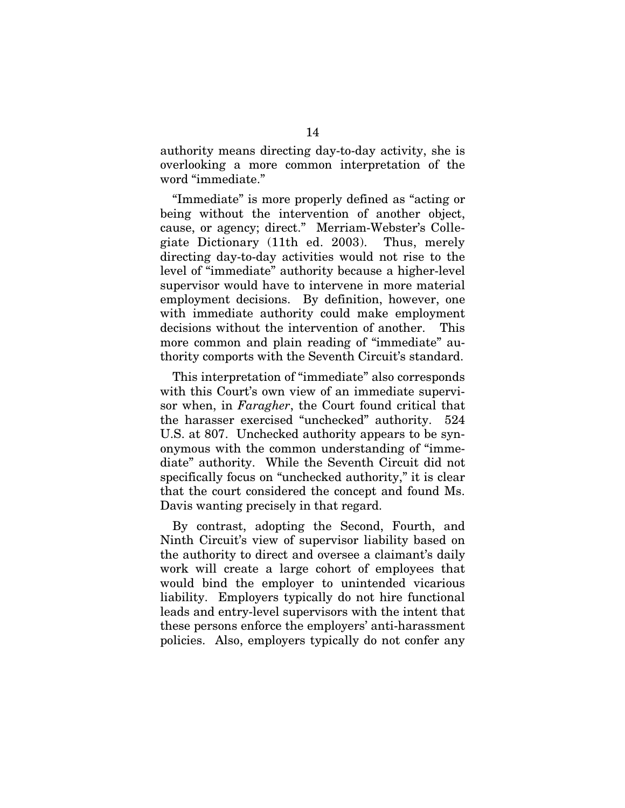authority means directing day-to-day activity, she is overlooking a more common interpretation of the word "immediate."

"Immediate" is more properly defined as "acting or being without the intervention of another object, cause, or agency; direct." Merriam-Webster's Collegiate Dictionary (11th ed. 2003). Thus, merely directing day-to-day activities would not rise to the level of "immediate" authority because a higher-level supervisor would have to intervene in more material employment decisions. By definition, however, one with immediate authority could make employment decisions without the intervention of another. This more common and plain reading of "immediate" authority comports with the Seventh Circuit's standard.

This interpretation of "immediate" also corresponds with this Court's own view of an immediate supervisor when, in *Faragher*, the Court found critical that the harasser exercised "unchecked" authority. 524 U.S. at 807. Unchecked authority appears to be synonymous with the common understanding of "immediate" authority. While the Seventh Circuit did not specifically focus on "unchecked authority," it is clear that the court considered the concept and found Ms. Davis wanting precisely in that regard.

By contrast, adopting the Second, Fourth, and Ninth Circuit's view of supervisor liability based on the authority to direct and oversee a claimant's daily work will create a large cohort of employees that would bind the employer to unintended vicarious liability. Employers typically do not hire functional leads and entry-level supervisors with the intent that these persons enforce the employers' anti-harassment policies. Also, employers typically do not confer any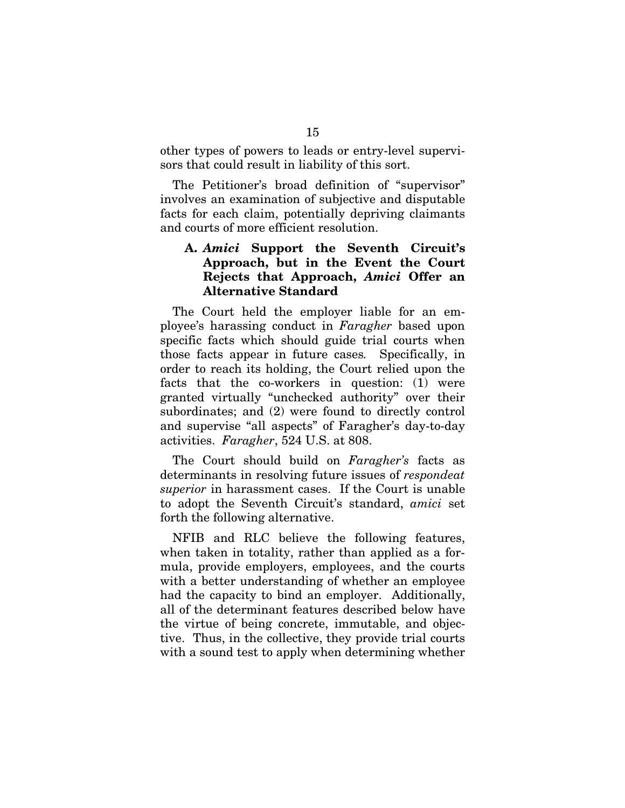other types of powers to leads or entry-level supervisors that could result in liability of this sort.

The Petitioner's broad definition of "supervisor" involves an examination of subjective and disputable facts for each claim, potentially depriving claimants and courts of more efficient resolution.

### **A.** *Amici* **Support the Seventh Circuit's Approach, but in the Event the Court Rejects that Approach,** *Amici* **Offer an Alternative Standard**

The Court held the employer liable for an employee's harassing conduct in *Faragher* based upon specific facts which should guide trial courts when those facts appear in future cases*.* Specifically, in order to reach its holding, the Court relied upon the facts that the co-workers in question: (1) were granted virtually "unchecked authority" over their subordinates; and (2) were found to directly control and supervise "all aspects" of Faragher's day-to-day activities. *Faragher*, 524 U.S. at 808.

The Court should build on *Faragher's* facts as determinants in resolving future issues of *respondeat superior* in harassment cases. If the Court is unable to adopt the Seventh Circuit's standard, *amici* set forth the following alternative.

NFIB and RLC believe the following features, when taken in totality, rather than applied as a formula, provide employers, employees, and the courts with a better understanding of whether an employee had the capacity to bind an employer. Additionally, all of the determinant features described below have the virtue of being concrete, immutable, and objective. Thus, in the collective, they provide trial courts with a sound test to apply when determining whether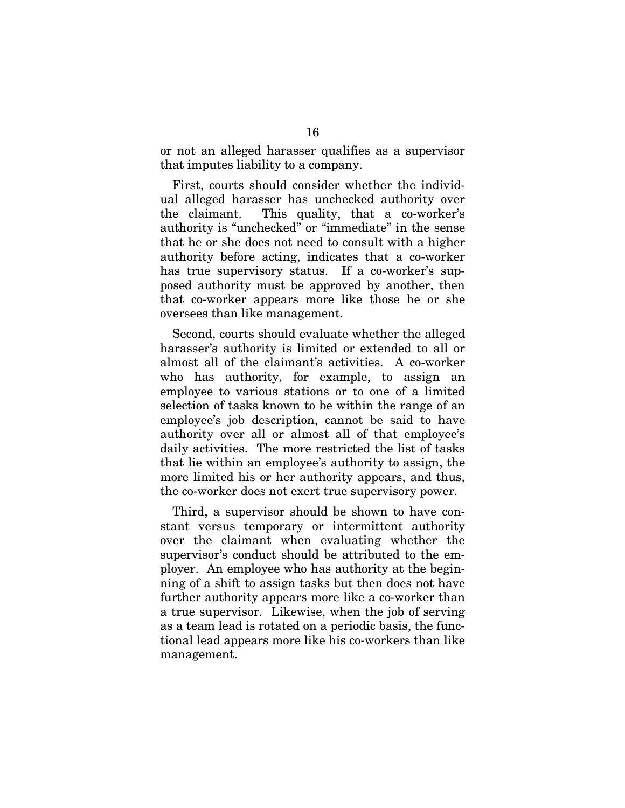or not an alleged harasser qualifies as a supervisor that imputes liability to a company.

First, courts should consider whether the individual alleged harasser has unchecked authority over the claimant. This quality, that a co-worker's authority is "unchecked" or "immediate" in the sense that he or she does not need to consult with a higher authority before acting, indicates that a co-worker has true supervisory status. If a co-worker's supposed authority must be approved by another, then that co-worker appears more like those he or she oversees than like management.

Second, courts should evaluate whether the alleged harasser's authority is limited or extended to all or almost all of the claimant's activities. A co-worker who has authority, for example, to assign an employee to various stations or to one of a limited selection of tasks known to be within the range of an employee's job description, cannot be said to have authority over all or almost all of that employee's daily activities. The more restricted the list of tasks that lie within an employee's authority to assign, the more limited his or her authority appears, and thus, the co-worker does not exert true supervisory power.

Third, a supervisor should be shown to have constant versus temporary or intermittent authority over the claimant when evaluating whether the supervisor's conduct should be attributed to the employer. An employee who has authority at the beginning of a shift to assign tasks but then does not have further authority appears more like a co-worker than a true supervisor. Likewise, when the job of serving as a team lead is rotated on a periodic basis, the functional lead appears more like his co-workers than like management.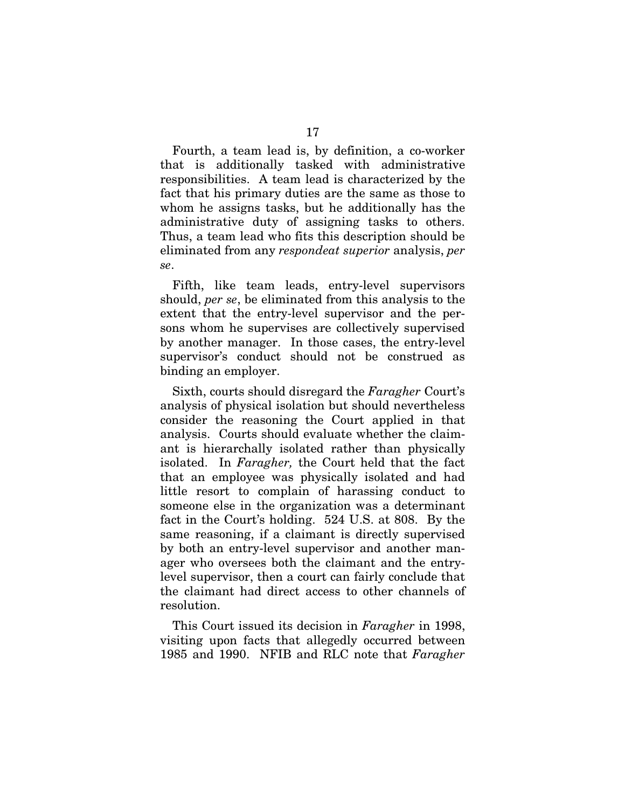Fourth, a team lead is, by definition, a co-worker that is additionally tasked with administrative responsibilities. A team lead is characterized by the fact that his primary duties are the same as those to whom he assigns tasks, but he additionally has the administrative duty of assigning tasks to others. Thus, a team lead who fits this description should be eliminated from any *respondeat superior* analysis, *per se*.

Fifth, like team leads, entry-level supervisors should, *per se*, be eliminated from this analysis to the extent that the entry-level supervisor and the persons whom he supervises are collectively supervised by another manager. In those cases, the entry-level supervisor's conduct should not be construed as binding an employer.

Sixth, courts should disregard the *Faragher* Court's analysis of physical isolation but should nevertheless consider the reasoning the Court applied in that analysis. Courts should evaluate whether the claimant is hierarchally isolated rather than physically isolated. In *Faragher,* the Court held that the fact that an employee was physically isolated and had little resort to complain of harassing conduct to someone else in the organization was a determinant fact in the Court's holding. 524 U.S. at 808. By the same reasoning, if a claimant is directly supervised by both an entry-level supervisor and another manager who oversees both the claimant and the entrylevel supervisor, then a court can fairly conclude that the claimant had direct access to other channels of resolution.

This Court issued its decision in *Faragher* in 1998, visiting upon facts that allegedly occurred between 1985 and 1990. NFIB and RLC note that *Faragher*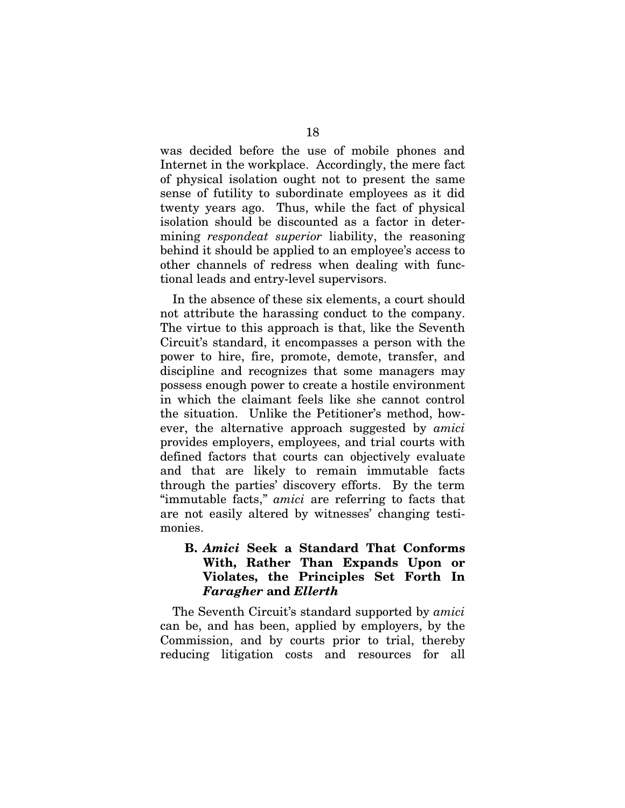was decided before the use of mobile phones and Internet in the workplace. Accordingly, the mere fact of physical isolation ought not to present the same sense of futility to subordinate employees as it did twenty years ago. Thus, while the fact of physical isolation should be discounted as a factor in determining *respondeat superior* liability, the reasoning behind it should be applied to an employee's access to other channels of redress when dealing with functional leads and entry-level supervisors.

In the absence of these six elements, a court should not attribute the harassing conduct to the company. The virtue to this approach is that, like the Seventh Circuit's standard, it encompasses a person with the power to hire, fire, promote, demote, transfer, and discipline and recognizes that some managers may possess enough power to create a hostile environment in which the claimant feels like she cannot control the situation. Unlike the Petitioner's method, however, the alternative approach suggested by *amici* provides employers, employees, and trial courts with defined factors that courts can objectively evaluate and that are likely to remain immutable facts through the parties' discovery efforts. By the term "immutable facts," *amici* are referring to facts that are not easily altered by witnesses' changing testimonies.

#### **B.** *Amici* **Seek a Standard That Conforms With, Rather Than Expands Upon or Violates, the Principles Set Forth In**  *Faragher* **and** *Ellerth*

The Seventh Circuit's standard supported by *amici* can be, and has been, applied by employers, by the Commission, and by courts prior to trial, thereby reducing litigation costs and resources for all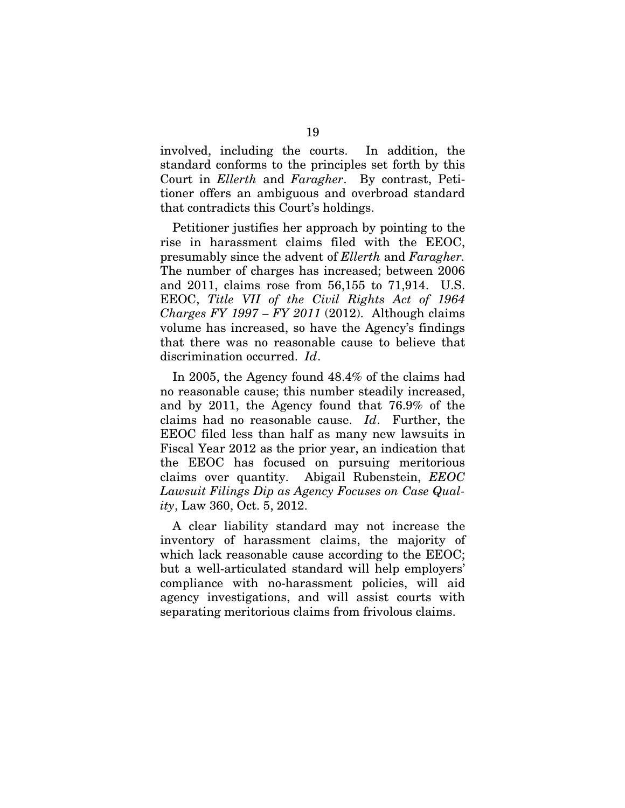involved, including the courts. In addition, the standard conforms to the principles set forth by this Court in *Ellerth* and *Faragher*. By contrast, Petitioner offers an ambiguous and overbroad standard that contradicts this Court's holdings.

Petitioner justifies her approach by pointing to the rise in harassment claims filed with the EEOC, presumably since the advent of *Ellerth* and *Faragher.*  The number of charges has increased; between 2006 and 2011, claims rose from 56,155 to 71,914. U.S. EEOC, *Title VII of the Civil Rights Act of 1964 Charges FY 1997 – FY 2011* (2012). Although claims volume has increased, so have the Agency's findings that there was no reasonable cause to believe that discrimination occurred. *Id*.

In 2005, the Agency found 48.4% of the claims had no reasonable cause; this number steadily increased, and by 2011, the Agency found that 76.9% of the claims had no reasonable cause. *Id*. Further, the EEOC filed less than half as many new lawsuits in Fiscal Year 2012 as the prior year, an indication that the EEOC has focused on pursuing meritorious claims over quantity. Abigail Rubenstein, *EEOC Lawsuit Filings Dip as Agency Focuses on Case Quality*, Law 360, Oct. 5, 2012.

A clear liability standard may not increase the inventory of harassment claims, the majority of which lack reasonable cause according to the EEOC; but a well-articulated standard will help employers' compliance with no-harassment policies, will aid agency investigations, and will assist courts with separating meritorious claims from frivolous claims.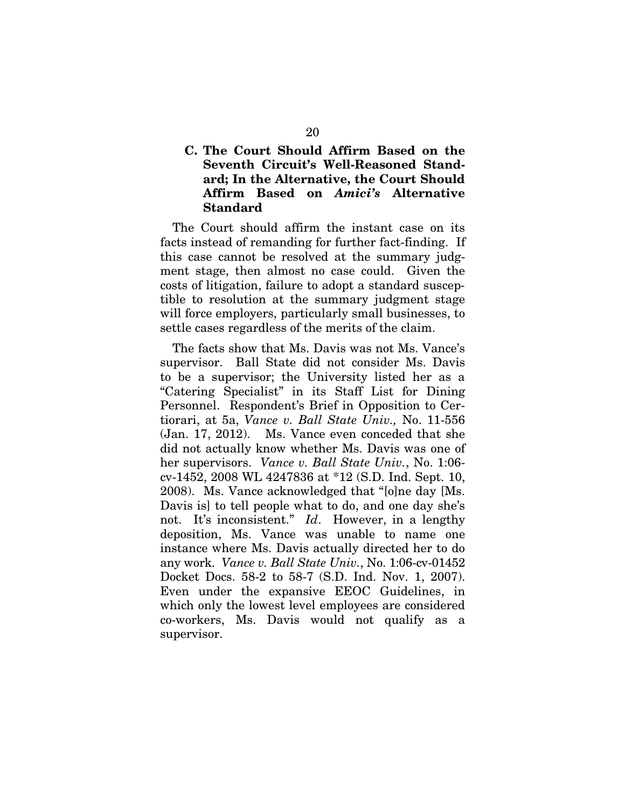### **C. The Court Should Affirm Based on the Seventh Circuit's Well-Reasoned Standard; In the Alternative, the Court Should Affirm Based on** *Amici's* **Alternative Standard**

The Court should affirm the instant case on its facts instead of remanding for further fact-finding. If this case cannot be resolved at the summary judgment stage, then almost no case could. Given the costs of litigation, failure to adopt a standard susceptible to resolution at the summary judgment stage will force employers, particularly small businesses, to settle cases regardless of the merits of the claim.

The facts show that Ms. Davis was not Ms. Vance's supervisor. Ball State did not consider Ms. Davis to be a supervisor; the University listed her as a "Catering Specialist" in its Staff List for Dining Personnel. Respondent's Brief in Opposition to Certiorari, at 5a, *Vance v. Ball State Univ.,* No. 11-556 (Jan. 17, 2012). Ms. Vance even conceded that she did not actually know whether Ms. Davis was one of her supervisors. *Vance v. Ball State Univ.*, No. 1:06 cv-1452, 2008 WL 4247836 at \*12 (S.D. Ind. Sept. 10, 2008). Ms. Vance acknowledged that "[o]ne day [Ms. Davis is] to tell people what to do, and one day she's not. It's inconsistent." *Id*. However, in a lengthy deposition, Ms. Vance was unable to name one instance where Ms. Davis actually directed her to do any work. *Vance v. Ball State Univ.*, No. 1:06-cv-01452 Docket Docs. 58-2 to 58-7 (S.D. Ind. Nov. 1, 2007). Even under the expansive EEOC Guidelines, in which only the lowest level employees are considered co-workers, Ms. Davis would not qualify as a supervisor.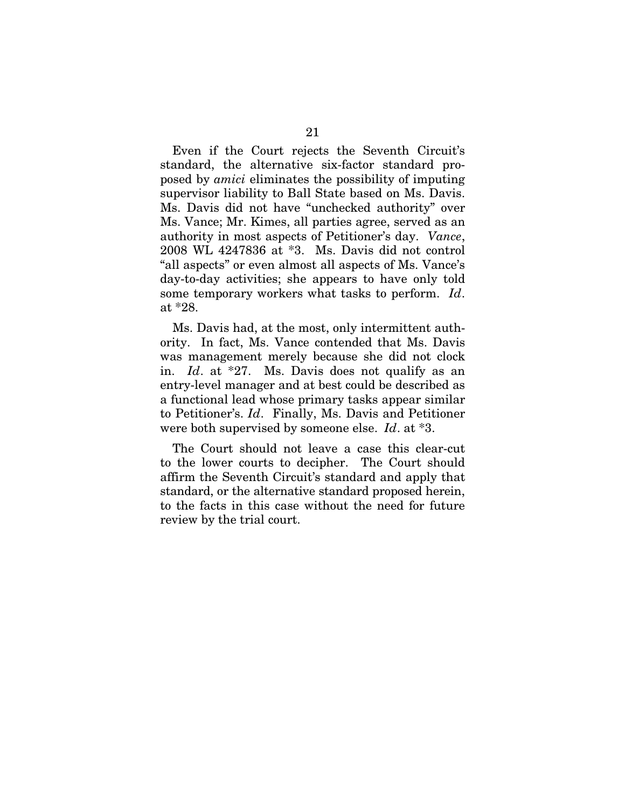Even if the Court rejects the Seventh Circuit's standard, the alternative six-factor standard proposed by *amici* eliminates the possibility of imputing supervisor liability to Ball State based on Ms. Davis. Ms. Davis did not have "unchecked authority" over Ms. Vance; Mr. Kimes, all parties agree, served as an authority in most aspects of Petitioner's day. *Vance*, 2008 WL 4247836 at \*3. Ms. Davis did not control "all aspects" or even almost all aspects of Ms. Vance's day-to-day activities; she appears to have only told some temporary workers what tasks to perform. *Id*. at \*28.

Ms. Davis had, at the most, only intermittent authority. In fact, Ms. Vance contended that Ms. Davis was management merely because she did not clock in. *Id*. at \*27. Ms. Davis does not qualify as an entry-level manager and at best could be described as a functional lead whose primary tasks appear similar to Petitioner's. *Id*. Finally, Ms. Davis and Petitioner were both supervised by someone else. *Id*. at \*3.

The Court should not leave a case this clear-cut to the lower courts to decipher. The Court should affirm the Seventh Circuit's standard and apply that standard, or the alternative standard proposed herein, to the facts in this case without the need for future review by the trial court.